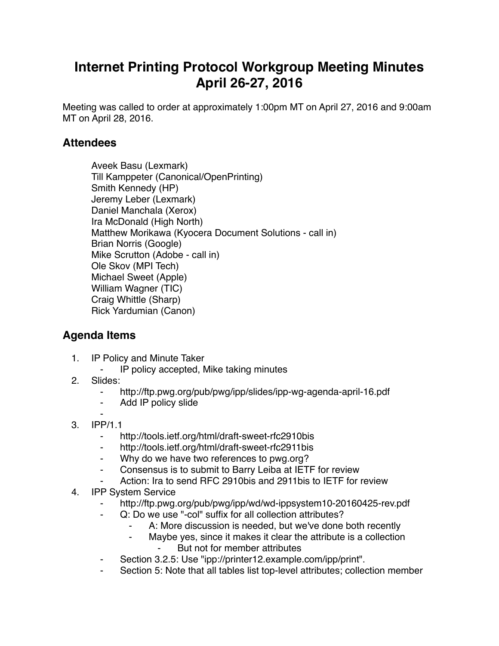## **Internet Printing Protocol Workgroup Meeting Minutes April 26-27, 2016**

Meeting was called to order at approximately 1:00pm MT on April 27, 2016 and 9:00am MT on April 28, 2016.

## **Attendees**

Aveek Basu (Lexmark) Till Kamppeter (Canonical/OpenPrinting) Smith Kennedy (HP) Jeremy Leber (Lexmark) Daniel Manchala (Xerox) Ira McDonald (High North) Matthew Morikawa (Kyocera Document Solutions - call in) Brian Norris (Google) Mike Scrutton (Adobe - call in) Ole Skov (MPI Tech) Michael Sweet (Apple) William Wagner (TIC) Craig Whittle (Sharp) Rick Yardumian (Canon)

## **Agenda Items**

- 1. IP Policy and Minute Taker
	- IP policy accepted, Mike taking minutes
- 2. Slides:
	- http://ftp.pwg.org/pub/pwg/ipp/slides/ipp-wg-agenda-april-16.pdf
	- ⁃ Add IP policy slide
- ⁃ 3. IPP/1.1
	- ⁃ http://tools.ietf.org/html/draft-sweet-rfc2910bis
	- http://tools.ietf.org/html/draft-sweet-rfc2911bis
	- ⁃ Why do we have two references to pwg.org?
	- ⁃ Consensus is to submit to Barry Leiba at IETF for review
	- Action: Ira to send RFC 2910bis and 2911bis to IETF for review
- 4. IPP System Service
	- http://ftp.pwg.org/pub/pwg/ipp/wd/wd-ippsystem10-20160425-rev.pdf
	- Q: Do we use "-col" suffix for all collection attributes?
		- A: More discussion is needed, but we've done both recently
		- ⁃ Maybe yes, since it makes it clear the attribute is a collection But not for member attributes
	- Section 3.2.5: Use "ipp://printer12.example.com/ipp/print".
	- Section 5: Note that all tables list top-level attributes; collection member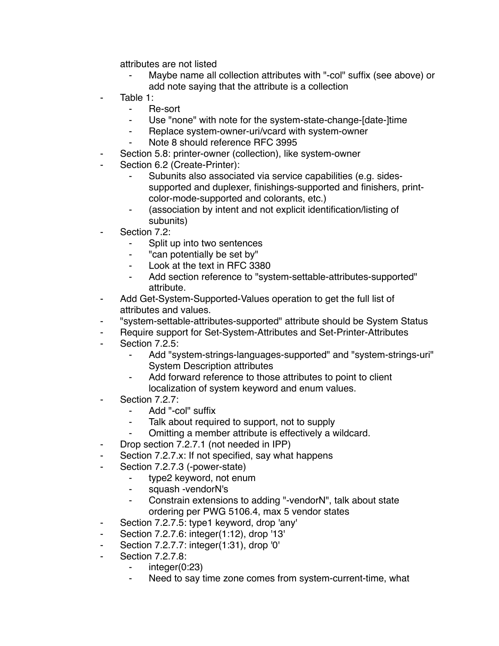attributes are not listed

- Maybe name all collection attributes with "-col" suffix (see above) or add note saying that the attribute is a collection
- Table 1:
	- ⁃ Re-sort
	- Use "none" with note for the system-state-change-[date-]time
	- Replace system-owner-uri/vcard with system-owner
	- Note 8 should reference RFC 3995
- Section 5.8: printer-owner (collection), like system-owner
- Section 6.2 (Create-Printer):
	- Subunits also associated via service capabilities (e.g. sidessupported and duplexer, finishings-supported and finishers, printcolor-mode-supported and colorants, etc.)
	- ⁃ (association by intent and not explicit identification/listing of subunits)
- Section 7.2:
	- ⁃ Split up into two sentences
	- "can potentially be set by"
	- ⁃ Look at the text in RFC 3380
	- ⁃ Add section reference to "system-settable-attributes-supported" attribute.
- ⁃ Add Get-System-Supported-Values operation to get the full list of attributes and values.
- ⁃ "system-settable-attributes-supported" attribute should be System Status
- ⁃ Require support for Set-System-Attributes and Set-Printer-Attributes
- Section 7.2.5:
	- ⁃ Add "system-strings-languages-supported" and "system-strings-uri" System Description attributes
	- ⁃ Add forward reference to those attributes to point to client localization of system keyword and enum values.
- Section 7.2.7:
	- ⁃ Add "-col" suffix
	- Talk about required to support, not to supply
	- ⁃ Omitting a member attribute is effectively a wildcard.
- ⁃ Drop section 7.2.7.1 (not needed in IPP)
- Section 7.2.7.x: If not specified, say what happens
- ⁃ Section 7.2.7.3 (-power-state)
	- ⁃ type2 keyword, not enum
		- squash -vendorN's
		- Constrain extensions to adding "-vendorN", talk about state ordering per PWG 5106.4, max 5 vendor states
- ⁃ Section 7.2.7.5: type1 keyword, drop 'any'
- ⁃ Section 7.2.7.6: integer(1:12), drop '13'
- Section 7.2.7.7: integer(1:31), drop '0'
- Section 7.2.7.8:
	- $integer(0:23)$
	- ⁃ Need to say time zone comes from system-current-time, what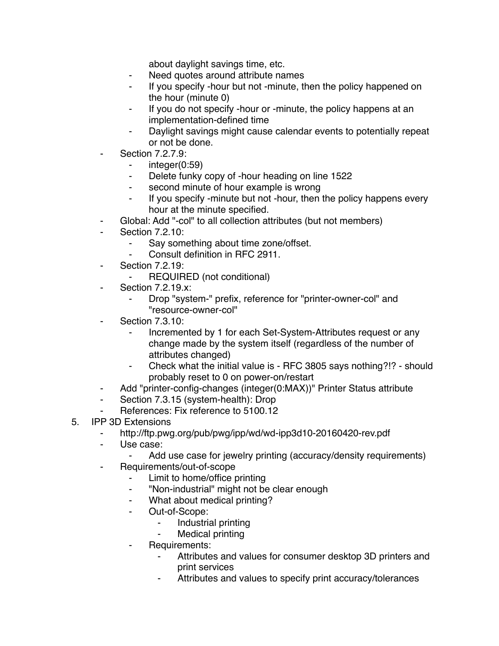about daylight savings time, etc.

- ⁃ Need quotes around attribute names
- If you specify -hour but not -minute, then the policy happened on the hour (minute 0)
- ⁃ If you do not specify -hour or -minute, the policy happens at an implementation-defined time
- ⁃ Daylight savings might cause calendar events to potentially repeat or not be done.
- **Section 7.2.7.9:** 
	- ⁃ integer(0:59)
	- ⁃ Delete funky copy of -hour heading on line 1522
	- ⁃ second minute of hour example is wrong
	- If you specify -minute but not -hour, then the policy happens every hour at the minute specified.
- ⁃ Global: Add "-col" to all collection attributes (but not members)
- Section 7.2.10:
	- ⁃ Say something about time zone/offset.
	- Consult definition in RFC 2911.
- Section 7.2.19:
	- REQUIRED (not conditional)
- Section 7.2.19.x:
	- Drop "system-" prefix, reference for "printer-owner-col" and "resource-owner-col"
- **Section 7.3.10:** 
	- Incremented by 1 for each Set-System-Attributes request or any change made by the system itself (regardless of the number of attributes changed)
	- ⁃ Check what the initial value is RFC 3805 says nothing?!? should probably reset to 0 on power-on/restart
- ⁃ Add "printer-config-changes (integer(0:MAX))" Printer Status attribute
- ⁃ Section 7.3.15 (system-health): Drop
- ⁃ References: Fix reference to 5100.12
- 5. IPP 3D Extensions
	- ⁃ http://ftp.pwg.org/pub/pwg/ipp/wd/wd-ipp3d10-20160420-rev.pdf
	- ⁃ Use case:
		- Add use case for jewelry printing (accuracy/density requirements)
	- ⁃ Requirements/out-of-scope
		- Limit to home/office printing
		- ⁃ "Non-industrial" might not be clear enough
		- ⁃ What about medical printing?
		- ⁃ Out-of-Scope:
			- ⁃ Industrial printing
			- Medical printing
		- ⁃ Requirements:
			- Attributes and values for consumer desktop 3D printers and print services
			- Attributes and values to specify print accuracy/tolerances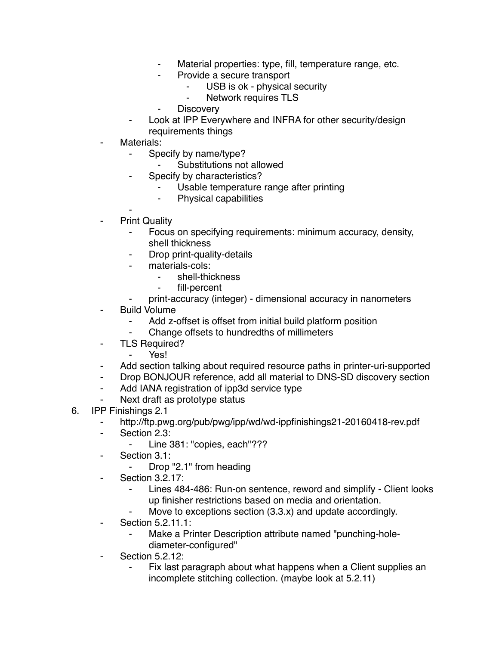- Material properties: type, fill, temperature range, etc.
- Provide a secure transport
	- USB is ok physical security
	- ⁃ Network requires TLS
- ⁃ Discovery
- Look at IPP Everywhere and INFRA for other security/design requirements things
- Materials:
	- Specify by name/type?
		- Substitutions not allowed
	- Specify by characteristics?
		- Usable temperature range after printing
		- ⁃ Physical capabilities
- ⁃ **Print Quality** 
	- Focus on specifying requirements: minimum accuracy, density, shell thickness
	- Drop print-quality-details
	- materials-cols:
		- shell-thickness
		- ⁃ fill-percent
	- ⁃ print-accuracy (integer) dimensional accuracy in nanometers
- **Build Volume** 
	- Add z-offset is offset from initial build platform position
	- Change offsets to hundredths of millimeters
- TLS Required?
	- ⁃ Yes!
- Add section talking about required resource paths in printer-uri-supported
- ⁃ Drop BONJOUR reference, add all material to DNS-SD discovery section
- ⁃ Add IANA registration of ipp3d service type
- ⁃ Next draft as prototype status
- 6. IPP Finishings 2.1
	- http://ftp.pwg.org/pub/pwg/ipp/wd/wd-ippfinishings21-20160418-rev.pdf
	- ⁃ Section 2.3:
		- ⁃ Line 381: "copies, each"???
	- ⁃ Section 3.1:
		- ⁃ Drop "2.1" from heading
	- ⁃ Section 3.2.17:
		- Lines 484-486: Run-on sentence, reword and simplify Client looks up finisher restrictions based on media and orientation.
		- Move to exceptions section  $(3.3.x)$  and update accordingly.
	- ⁃ Section 5.2.11.1:
		- Make a Printer Description attribute named "punching-holediameter-configured"
	- ⁃ Section 5.2.12:
		- Fix last paragraph about what happens when a Client supplies an incomplete stitching collection. (maybe look at 5.2.11)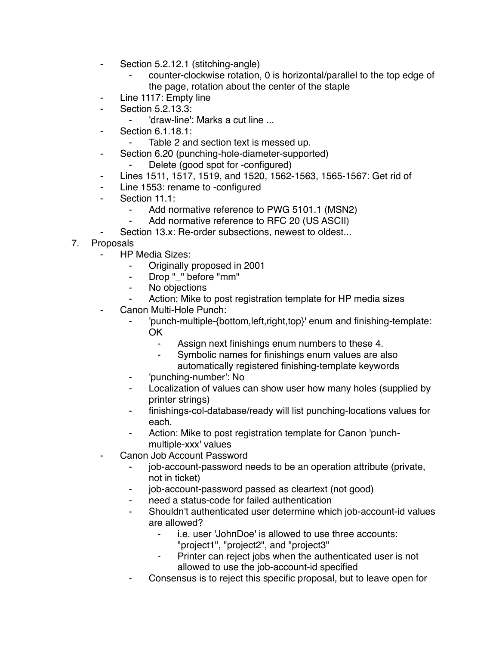- ⁃ Section 5.2.12.1 (stitching-angle)
	- counter-clockwise rotation, 0 is horizontal/parallel to the top edge of the page, rotation about the center of the staple
- Line 1117: Empty line
- ⁃ Section 5.2.13.3:
	- 'draw-line': Marks a cut line ...
	- ⁃ Section 6.1.18.1:
		- Table 2 and section text is messed up.
- ⁃ Section 6.20 (punching-hole-diameter-supported)
	- Delete (good spot for -configured)
- ⁃ Lines 1511, 1517, 1519, and 1520, 1562-1563, 1565-1567: Get rid of
- ⁃ Line 1553: rename to -configured
- Section 11.1:
	- Add normative reference to PWG 5101.1 (MSN2)
	- Add normative reference to RFC 20 (US ASCII)
	- Section 13.x: Re-order subsections, newest to oldest...
- 7. Proposals
	- **HP Media Sizes:** 
		- ⁃ Originally proposed in 2001
		- ⁃ Drop "\_" before "mm"
		- ⁃ No objections
		- Action: Mike to post registration template for HP media sizes
	- Canon Multi-Hole Punch:
		- ⁃ 'punch-multiple-{bottom,left,right,top}' enum and finishing-template: OK
			- Assign next finishings enum numbers to these 4.
			- ⁃ Symbolic names for finishings enum values are also automatically registered finishing-template keywords
		- 'punching-number': No
		- Localization of values can show user how many holes (supplied by printer strings)
		- ⁃ finishings-col-database/ready will list punching-locations values for each.
		- ⁃ Action: Mike to post registration template for Canon 'punchmultiple-xxx' values
	- Canon Job Account Password
		- ⁃ job-account-password needs to be an operation attribute (private, not in ticket)
		- job-account-password passed as cleartext (not good)
		- ⁃ need a status-code for failed authentication
		- Shouldn't authenticated user determine which job-account-id values are allowed?
			- i.e. user 'JohnDoe' is allowed to use three accounts:
				- "project1", "project2", and "project3"
			- Printer can reject jobs when the authenticated user is not allowed to use the job-account-id specified
		- Consensus is to reject this specific proposal, but to leave open for